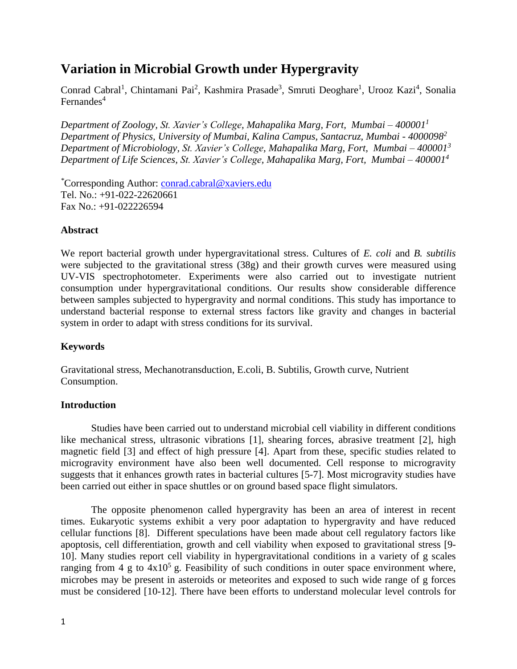# **Variation in Microbial Growth under Hypergravity**

Conrad Cabral<sup>1</sup>, Chintamani Pai<sup>2</sup>, Kashmira Prasade<sup>3</sup>, Smruti Deoghare<sup>1</sup>, Urooz Kazi<sup>4</sup>, Sonalia Fernandes $4$ 

*Department of Zoology, St. Xavier's College, Mahapalika Marg, Fort, Mumbai – 400001<sup>1</sup> Department of Physics, University of Mumbai, Kalina Campus, Santacruz, Mumbai - 4000098<sup>2</sup> Department of Microbiology, St. Xavier's College, Mahapalika Marg, Fort, Mumbai – 400001<sup>3</sup> Department of Life Sciences, St. Xavier's College, Mahapalika Marg, Fort, Mumbai – 400001<sup>4</sup>*

*\**Corresponding Author: [conrad.cabral@xaviers.edu](mailto:conrad.cabral@xaviers.edu) Tel. No.: +91-022-22620661 Fax No.: +91-022226594

### **Abstract**

We report bacterial growth under hypergravitational stress. Cultures of *E. coli* and *B. subtilis* were subjected to the gravitational stress (38g) and their growth curves were measured using UV-VIS spectrophotometer. Experiments were also carried out to investigate nutrient consumption under hypergravitational conditions. Our results show considerable difference between samples subjected to hypergravity and normal conditions. This study has importance to understand bacterial response to external stress factors like gravity and changes in bacterial system in order to adapt with stress conditions for its survival.

### **Keywords**

Gravitational stress, Mechanotransduction, E.coli, B. Subtilis, Growth curve, Nutrient Consumption.

### **Introduction**

Studies have been carried out to understand microbial cell viability in different conditions like mechanical stress, ultrasonic vibrations [1], shearing forces, abrasive treatment [2], high magnetic field [3] and effect of high pressure [4]. Apart from these, specific studies related to microgravity environment have also been well documented. Cell response to microgravity suggests that it enhances growth rates in bacterial cultures [5-7]. Most microgravity studies have been carried out either in space shuttles or on ground based space flight simulators.

The opposite phenomenon called hypergravity has been an area of interest in recent times. Eukaryotic systems exhibit a very poor adaptation to hypergravity and have reduced cellular functions [8]. Different speculations have been made about cell regulatory factors like apoptosis, cell differentiation, growth and cell viability when exposed to gravitational stress [9- 10]. Many studies report cell viability in hypergravitational conditions in a variety of g scales ranging from 4 g to  $4x10^5$  g. Feasibility of such conditions in outer space environment where, microbes may be present in asteroids or meteorites and exposed to such wide range of g forces must be considered [10-12]. There have been efforts to understand molecular level controls for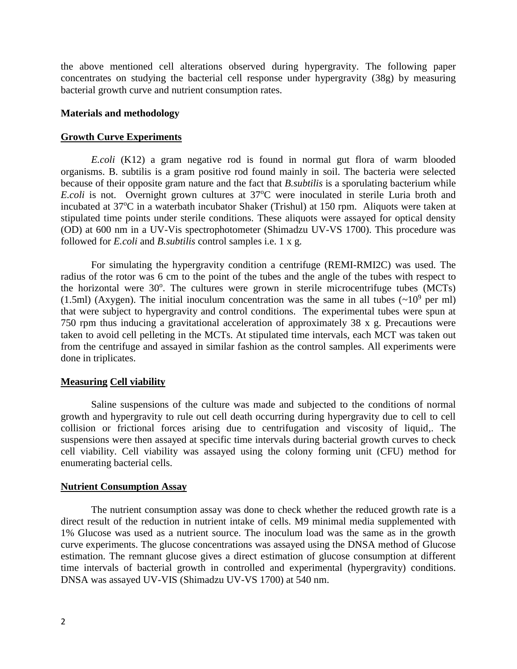the above mentioned cell alterations observed during hypergravity. The following paper concentrates on studying the bacterial cell response under hypergravity (38g) by measuring bacterial growth curve and nutrient consumption rates.

#### **Materials and methodology**

#### **Growth Curve Experiments**

*E.coli* (K12) a gram negative rod is found in normal gut flora of warm blooded organisms. B. subtilis is a gram positive rod found mainly in soil. The bacteria were selected because of their opposite gram nature and the fact that *B.subtilis* is a sporulating bacterium while *E.coli* is not. Overnight grown cultures at 37°C were inoculated in sterile Luria broth and incubated at 37<sup>o</sup>C in a waterbath incubator Shaker (Trishul) at 150 rpm. Aliquots were taken at stipulated time points under sterile conditions. These aliquots were assayed for optical density (OD) at 600 nm in a UV-Vis spectrophotometer (Shimadzu UV-VS 1700). This procedure was followed for *E.coli* and *B.subtilis* control samples i.e. 1 x g.

For simulating the hypergravity condition a centrifuge (REMI-RMI2C) was used. The radius of the rotor was 6 cm to the point of the tubes and the angle of the tubes with respect to the horizontal were 30°. The cultures were grown in sterile microcentrifuge tubes (MCTs) (1.5ml) (Axygen). The initial inoculum concentration was the same in all tubes  $({\sim}10^9$  per ml) that were subject to hypergravity and control conditions. The experimental tubes were spun at 750 rpm thus inducing a gravitational acceleration of approximately 38 x g. Precautions were taken to avoid cell pelleting in the MCTs. At stipulated time intervals, each MCT was taken out from the centrifuge and assayed in similar fashion as the control samples. All experiments were done in triplicates.

#### **Measuring Cell viability**

Saline suspensions of the culture was made and subjected to the conditions of normal growth and hypergravity to rule out cell death occurring during hypergravity due to cell to cell collision or frictional forces arising due to centrifugation and viscosity of liquid,. The suspensions were then assayed at specific time intervals during bacterial growth curves to check cell viability. Cell viability was assayed using the colony forming unit (CFU) method for enumerating bacterial cells.

#### **Nutrient Consumption Assay**

The nutrient consumption assay was done to check whether the reduced growth rate is a direct result of the reduction in nutrient intake of cells. M9 minimal media supplemented with 1% Glucose was used as a nutrient source. The inoculum load was the same as in the growth curve experiments. The glucose concentrations was assayed using the DNSA method of Glucose estimation. The remnant glucose gives a direct estimation of glucose consumption at different time intervals of bacterial growth in controlled and experimental (hypergravity) conditions. DNSA was assayed UV-VIS (Shimadzu UV-VS 1700) at 540 nm.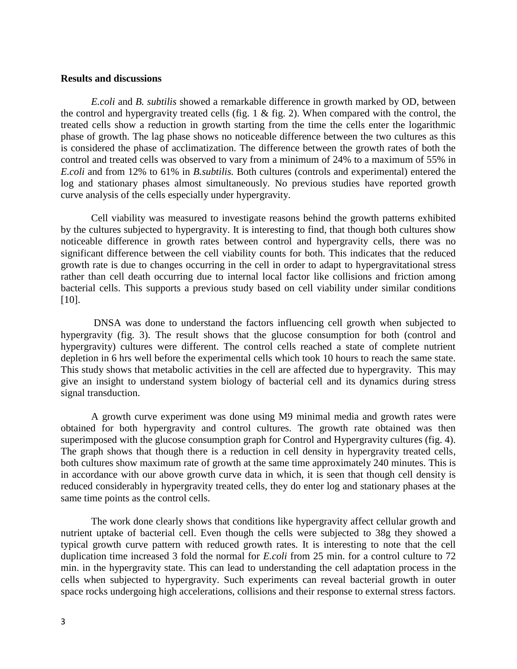#### **Results and discussions**

*E.coli* and *B. subtilis* showed a remarkable difference in growth marked by OD, between the control and hypergravity treated cells (fig. 1 & fig. 2). When compared with the control, the treated cells show a reduction in growth starting from the time the cells enter the logarithmic phase of growth. The lag phase shows no noticeable difference between the two cultures as this is considered the phase of acclimatization. The difference between the growth rates of both the control and treated cells was observed to vary from a minimum of 24% to a maximum of 55% in *E.coli* and from 12% to 61% in *B.subtilis.* Both cultures (controls and experimental) entered the log and stationary phases almost simultaneously. No previous studies have reported growth curve analysis of the cells especially under hypergravity.

Cell viability was measured to investigate reasons behind the growth patterns exhibited by the cultures subjected to hypergravity. It is interesting to find, that though both cultures show noticeable difference in growth rates between control and hypergravity cells, there was no significant difference between the cell viability counts for both. This indicates that the reduced growth rate is due to changes occurring in the cell in order to adapt to hypergravitational stress rather than cell death occurring due to internal local factor like collisions and friction among bacterial cells. This supports a previous study based on cell viability under similar conditions [10].

DNSA was done to understand the factors influencing cell growth when subjected to hypergravity (fig. 3). The result shows that the glucose consumption for both (control and hypergravity) cultures were different. The control cells reached a state of complete nutrient depletion in 6 hrs well before the experimental cells which took 10 hours to reach the same state. This study shows that metabolic activities in the cell are affected due to hypergravity. This may give an insight to understand system biology of bacterial cell and its dynamics during stress signal transduction.

A growth curve experiment was done using M9 minimal media and growth rates were obtained for both hypergravity and control cultures. The growth rate obtained was then superimposed with the glucose consumption graph for Control and Hypergravity cultures (fig. 4). The graph shows that though there is a reduction in cell density in hypergravity treated cells, both cultures show maximum rate of growth at the same time approximately 240 minutes. This is in accordance with our above growth curve data in which, it is seen that though cell density is reduced considerably in hypergravity treated cells, they do enter log and stationary phases at the same time points as the control cells.

The work done clearly shows that conditions like hypergravity affect cellular growth and nutrient uptake of bacterial cell. Even though the cells were subjected to 38g they showed a typical growth curve pattern with reduced growth rates. It is interesting to note that the cell duplication time increased 3 fold the normal for *E.coli* from 25 min. for a control culture to 72 min. in the hypergravity state. This can lead to understanding the cell adaptation process in the cells when subjected to hypergravity. Such experiments can reveal bacterial growth in outer space rocks undergoing high accelerations, collisions and their response to external stress factors.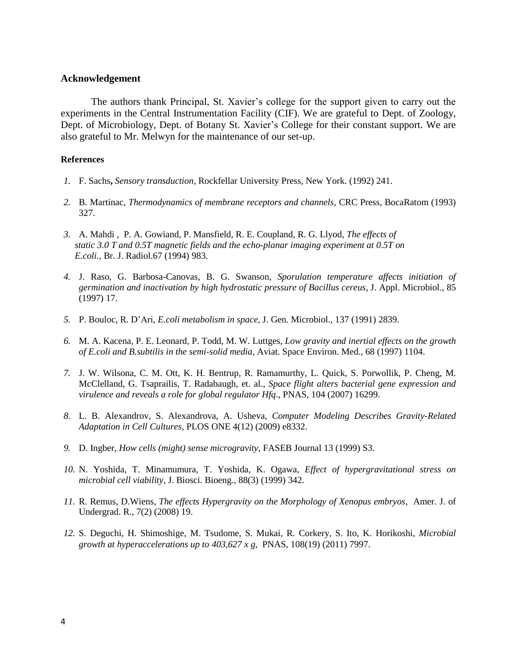#### **Acknowledgement**

The authors thank Principal, St. Xavier's college for the support given to carry out the experiments in the Central Instrumentation Facility (CIF). We are grateful to Dept. of Zoology, Dept. of Microbiology, Dept. of Botany St. Xavier's College for their constant support. We are also grateful to Mr. Melwyn for the maintenance of our set-up.

#### **References**

- *1.* F. Sachs**,** *Sensory transduction*, Rockfellar University Press, New York. (1992) 241.
- *2.* B. Martinac, *Thermodynamics of membrane receptors and channels*, CRC Press, BocaRatom (1993) 327.
- *3.* A. Mahdi , P. A. Gowiand, P. Mansfield, R. E. Coupland, R. G. Llyod, *The effects of static 3.0 T and 0.5T magnetic fields and the echo-planar imaging experiment at 0.5T on E.coli.,* Br. J. Radiol.67 (1994) 983.
- *4.* J. Raso, G. Barbosa-Canovas, B. G. Swanson, *Sporulation temperature affects initiation of germination and inactivation by high hydrostatic pressure of Bacillus cereus*, J. Appl. Microbiol., 85 (1997) 17.
- *5.* P. Bouloc, R. D'Ari, *E.coli metabolism in space*, J. Gen. Microbiol., 137 (1991) 2839.
- *6.* M. A. Kacena, P. E. Leonard, P. Todd, M. W. Luttges, *Low gravity and inertial effects on the growth of E.coli and B.subtilis in the semi-solid media*, Aviat. Space Environ. Med., 68 (1997) 1104.
- *7.* J. W. Wilsona, C. M. Ott, K. H. Bentrup, R. Ramamurthy, L. Quick, S. Porwollik, P. Cheng, M. McClelland, G. Tsaprailis, T. Radabaugh, et. al., *Space flight alters bacterial gene expression and virulence and reveals a role for global regulator Hfq*., PNAS, 104 (2007) 16299.
- *8.* L. B. Alexandrov, S. Alexandrova, A. Usheva, *Computer Modeling Describes Gravity-Related Adaptation in Cell Cultures,* PLOS ONE 4(12) (2009) e8332.
- *9.* D. Ingber, *How cells (might) sense microgravity*, FASEB Journal 13 (1999) S3.
- *10.* N. Yoshida, T. Minamumura, T. Yoshida, K. Ogawa, *Effect of hypergravitational stress on microbial cell viability*, J. Biosci. Bioeng., 88(3) (1999) 342.
- *11.* R. Remus, D.Wiens, *The effects Hypergravity on the Morphology of Xenopus embryos*, Amer. J. of Undergrad. R., 7(2) (2008) 19.
- *12.* S. Deguchi, H. Shimoshige, M. Tsudome, S. Mukai, R. Corkery, S. Ito, K. Horikoshi, *Microbial growth at hyperaccelerations up to 403,627 x g*, PNAS, 108(19) (2011) 7997.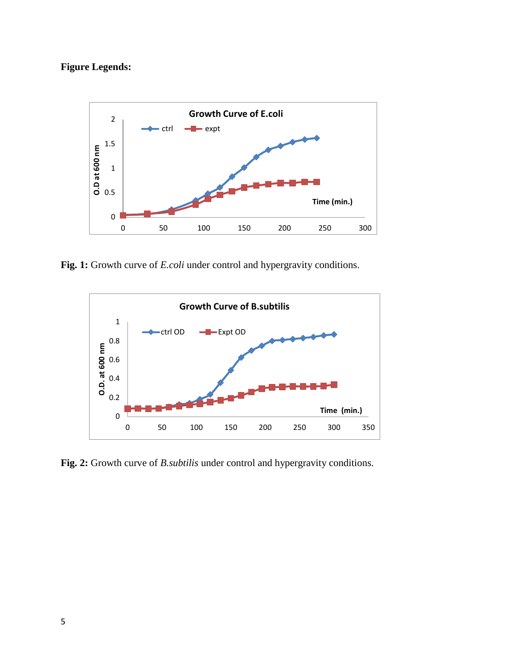## **Figure Legends:**



**Fig. 1:** Growth curve of *E.coli* under control and hypergravity conditions.



**Fig. 2:** Growth curve of *B.subtilis* under control and hypergravity conditions.